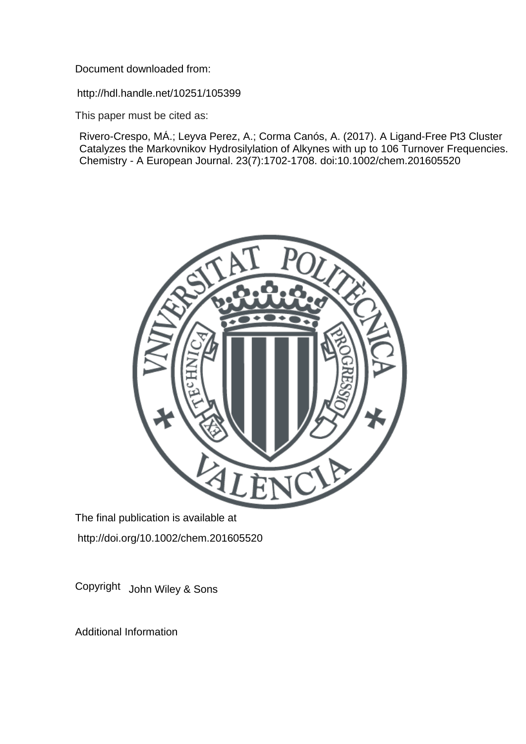Document downloaded from:

http://hdl.handle.net/10251/105399

This paper must be cited as:

Rivero-Crespo, MÁ.; Leyva Perez, A.; Corma Canós, A. (2017). A Ligand-Free Pt3 Cluster Catalyzes the Markovnikov Hydrosilylation of Alkynes with up to 106 Turnover Frequencies. Chemistry - A European Journal. 23(7):1702-1708. doi:10.1002/chem.201605520



The final publication is available at http://doi.org/10.1002/chem.201605520

Copyright John Wiley & Sons

Additional Information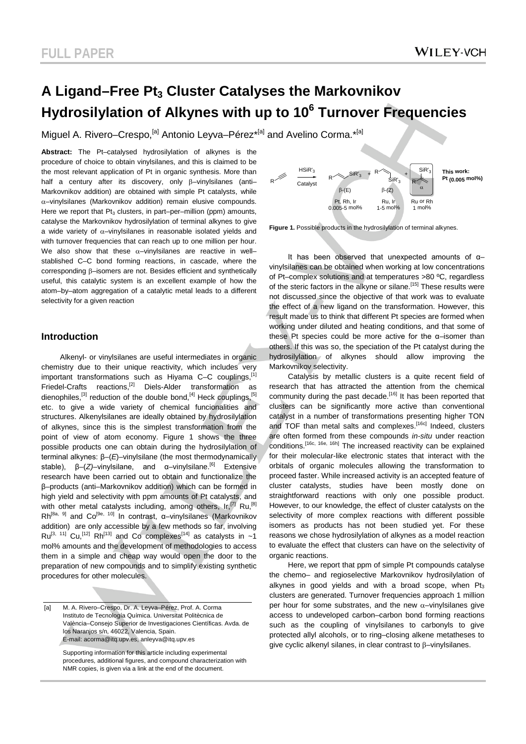# A Ligand–Free Pt<sub>3</sub> Cluster Catalyses the Markovnikov **Hydrosilylation of Alkynes with up to 10<sup>6</sup> Turnover Frequencies**

Miguel A. Rivero–Crespo,<sup>[a]</sup> Antonio Leyva–Pérez<sup>\*[a]</sup> and Avelino Corma.<sup>\*[a]</sup>

**Abstract:** The Pt–catalysed hydrosilylation of alkynes is the procedure of choice to obtain vinylsilanes, and this is claimed to be the most relevant application of Pt in organic synthesis. More than half a century after its discovery, only β–vinylsilanes (anti– Markovnikov addition) are obtained with simple Pt catalysts, while  $\alpha$ –vinylsilanes (Markovnikov addition) remain elusive compounds. Here we report that  $Pt_3$  clusters, in part–per–million (ppm) amounts, catalyse the Markovnikov hydrosilylation of terminal alkynes to give a wide variety of  $\alpha$ -vinylsilanes in reasonable isolated yields and with turnover frequencies that can reach up to one million per hour. We also show that these  $\alpha$ –vinylsilanes are reactive in well– stablished C–C bond forming reactions, in cascade, where the corresponding β–isomers are not. Besides efficient and synthetically useful, this catalytic system is an excellent example of how the atom–by–atom aggregation of a catalytic metal leads to a different selectivity for a given reaction

# **Introduction**

Alkenyl- or vinylsilanes are useful intermediates in organic chemistry due to their unique reactivity, which includes very important transformations such as Hiyama C–C couplings.<sup>[1]</sup> Friedel-Crafts reactions.<sup>[2]</sup> Diels-Alder transformation as dienophiles.<sup>[3]</sup> reduction of the double bond.<sup>[4]</sup> Heck couplings.<sup>[5]</sup> etc. to give a wide variety of chemical funcionalities and structures. Alkenylsilanes are ideally obtained by hydrosilylation of alkynes, since this is the simplest transformation from the point of view of atom economy. Figure 1 shows the three possible products one can obtain during the hydrosilylation of terminal alkynes: β–(*E*)–vinylsilane (the most thermodynamically stable), β–(*Z*)–vinylsilane, and α–vinylsilane.<sup>[6]</sup> Extensive research have been carried out to obtain and functionalize the β–products (anti–Markovnikov addition) which can be formed in high yield and selectivity with ppm amounts of Pt catalysts, and with other metal catalysts including, among others,  $Ir, [7]$  Ru,  $[8]$ Rh<sup>[8a, 9]</sup> and Co<sup>[9e, 10]</sup> In contrast, α-vinylsilanes (Markovnikov addition) are only accessible by a few methods so far, involving  $Ru^{[3, 11]}$  Cu,<sup>[12]</sup> Rh<sup>[13]</sup> and Co complexes<sup>[14]</sup> as catalysts in ~1 mol% amounts and the development of methodologies to access them in a simple and cheap way would open the door to the preparation of new compounds and to simplify existing synthetic procedures for other molecules.

[a] M. A. Rivero–Crespo, Dr. A. Leyva–Pérez, Prof. A. Corma Instituto de Tecnología Química. Universitat Politècnica de València–Consejo Superior de Investigaciones Científicas. Avda. de los Naranjos s/n, 46022, Valencia, Spain. E-mail: acorma@itq.upv.es, anleyva@itq.upv.es

Supporting information for this article including experimental procedures, additional figures, and compound characterization with NMR copies, is given via a link at the end of the document.



**Figure 1.** Possible products in the hydrosilylation of terminal alkynes.

It has been observed that unexpected amounts of α– vinylsilanes can be obtained when working at low concentrations of Pt–complex solutions and at temperatures >80 ºC, regardless of the steric factors in the alkyne or silane.<sup>[15]</sup> These results were not discussed since the objective of that work was to evaluate the effect of a new ligand on the transformation. However, this result made us to think that different Pt species are formed when working under diluted and heating conditions, and that some of these Pt species could be more active for the α–isomer than others. If this was so, the speciation of the Pt catalyst during the hydrosilylation of alkynes should allow improving the Markovnikov selectivity.

Catalysis by metallic clusters is a quite recent field of research that has attracted the attention from the chemical community during the past decade.<sup>[16]</sup> It has been reported that clusters can be significantly more active than conventional catalyst in a number of transformations presenting higher TON and TOF than metal salts and complexes.<sup>[16c]</sup> Indeed, clusters are often formed from these compounds *in-situ* under reaction conditions.[16c, 16e, 16h] The increased reactivity can be explained for their molecular-like electronic states that interact with the orbitals of organic molecules allowing the transformation to proceed faster. While increased activity is an accepted feature of cluster catalysts, studies have been mostly done on straightforward reactions with only one possible product. However, to our knowledge, the effect of cluster catalysts on the selectivity of more complex reactions with different possible isomers as products has not been studied yet. For these reasons we chose hydrosilylation of alkynes as a model reaction to evaluate the effect that clusters can have on the selectivity of organic reactions.

Here, we report that ppm of simple Pt compounds catalyse the chemo– and regioselective Markovnikov hydrosilylation of alkynes in good yields and with a broad scope, when  $Pt<sub>3</sub>$ clusters are generated. Turnover frequencies approach 1 million per hour for some substrates, and the new  $\alpha$ -vinylsilanes give access to undeveloped carbon–carbon bond forming reactions such as the coupling of vinylsilanes to carbonyls to give protected allyl alcohols, or to ring–closing alkene metatheses to give cyclic alkenyl silanes, in clear contrast to β–vinylsilanes.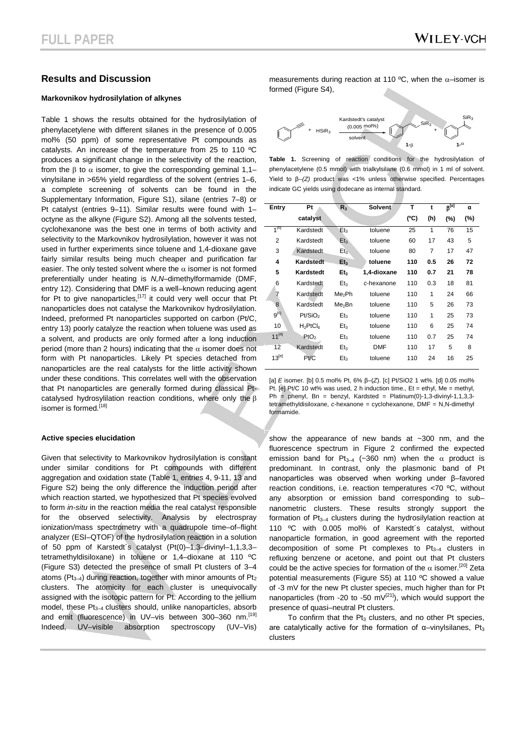# **Results and Discussion**

#### **Markovnikov hydrosilylation of alkynes**

Table 1 shows the results obtained for the hydrosilylation of phenylacetylene with different silanes in the presence of 0.005 mol% (50 ppm) of some representative Pt compounds as catalysts. An increase of the temperature from 25 to 110 ºC produces a significant change in the selectivity of the reaction, from the β to a isomer, to give the corresponding geminal 1,1– vinylsilane in >65% yield regardless of the solvent (entries 1–6, a complete screening of solvents can be found in the Supplementary Information, Figure S1), silane (entries 7–8) or Pt catalyst (entries 9–11). Similar results were found with 1– octyne as the alkyne (Figure S2). Among all the solvents tested, cyclohexanone was the best one in terms of both activity and selectivity to the Markovnikov hydrosilylation, however it was not used in further experiments since toluene and 1,4-dioxane gave fairly similar results being much cheaper and purification far easier. The only tested solvent where the  $\alpha$  isomer is not formed preferentially under heating is *N,N*–dimethylformamide (DMF, entry 12). Considering that DMF is a well–known reducing agent for Pt to give nanoparticles,  $[17]$  it could very well occur that Pt nanoparticles does not catalyse the Markovnikov hydrosilylation. Indeed, preformed Pt nanoparticles supported on carbon (Pt/C, entry 13) poorly catalyze the reaction when toluene was used as a solvent, and products are only formed after a long induction period (more than 2 hours) indicating that the  $\alpha$  isomer does not form with Pt nanoparticles. Likely Pt species detached from nanoparticles are the real catalysts for the little activity shown under these conditions. This correlates well with the observation that Pt nanoparticles are generally formed during classical Ptcatalysed hydrosylilation reaction conditions, where only the β isomer is formed.<sup>[18]</sup>

#### **Active species elucidation**

Given that selectivity to Markovnikov hydrosilylation is constant under similar conditions for Pt compounds with different aggregation and oxidation state (Table 1, entries 4, 9-11, 13 and Figure S2) being the only difference the induction period after which reaction started, we hypothesized that Pt species evolved to form *in-situ* in the reaction media the real catalyst responsible for the observed selectivity. Analysis by electrospray ionization/mass spectrometry with a quadrupole time–of–flight analyzer (ESI–QTOF) of the hydrosilylation reaction in a solution of 50 ppm of Karstedt´s catalyst (Pt(0)–1,3–divinyl–1,1,3,3– tetramethyldisiloxane) in toluene or 1,4–dioxane at 110 ºC (Figure S3) detected the presence of small Pt clusters of 3–4 atoms ( $Pt_{3-4}$ ) during reaction, together with minor amounts of  $Pt_2$ clusters. The atomicity for each cluster is unequivocally assigned with the isotopic pattern for Pt. According to the jellium model, these  $Pt_{3-4}$  clusters should, unlike nanoparticles, absorb and emit (fluorescence) in UV–vis between 300–360 nm.<sup>[19]</sup> Indeed, UV–visible absorption spectroscopy (UV–Vis)

measurements during reaction at 110 °C, when the  $\alpha$ -isomer is formed (Figure S4),



**Table 1.** Screening of reaction conditions for the hydrosilylation of phenylacetylene (0.5 mmol) with trialkylsilane (0.6 mmol) in 1 ml of solvent. Yield to β–*(Z)* product was <1% unless otherwise specified. Percentages indicate GC yields using dodecane as internal standard.

| Entry          | Pt                            | R <sub>3</sub>     | <b>Solvent</b> | T    | t   | $\beta^{[a]}$ | α   |
|----------------|-------------------------------|--------------------|----------------|------|-----|---------------|-----|
|                | catalyst                      |                    |                | (°C) | (h) | $(\%)$        | (%) |
| $1^{[D]}$      | Kardstedt                     | Et <sub>3</sub>    | toluene        | 25   | 1   | 76            | 15  |
| $\overline{2}$ | Kardstedt                     | Et <sub>3</sub>    | toluene        | 60   | 17  | 43            | 5   |
| 3              | Kardstedt                     | Et <sub>3</sub>    | toluene        | 80   | 7   | 17            | 47  |
| 4              | Kardstedt                     | Et <sub>3</sub>    | toluene        | 110  | 0.5 | 26            | 72  |
| 5              | Kardstedt                     | Et <sub>3</sub>    | 1,4-dioxane    | 110  | 0.7 | 21            | 78  |
| 6              | Kardstedt                     | Et <sub>3</sub>    | c-hexanone     | 110  | 0.3 | 18            | 81  |
| 7              | Kardstedt                     | Me <sub>2</sub> Ph | toluene        | 110  | 1   | 24            | 66  |
| 8              | Kardstedt                     | Me <sub>2</sub> Bn | toluene        | 110  | 5   | 26            | 73  |
| $9^{[c]}$      | Pt/SiO <sub>2</sub>           | Et <sub>3</sub>    | toluene        | 110  | 1   | 25            | 73  |
| 10             | $H_2PtCl_6$                   | Et <sub>3</sub>    | toluene        | 110  | 6   | 25            | 74  |
| $11^{[d]}$     | P <sub>1</sub> O <sub>2</sub> | Et <sub>3</sub>    | toluene        | 110  | 0.7 | 25            | 74  |
| 12             | Kardstedt                     | Et <sub>3</sub>    | <b>DMF</b>     | 110  | 17  | 5             | 8   |
| $13^{[e]}$     | Pt/C                          | Et <sub>3</sub>    | toluene        | 110  | 24  | 16            | 25  |

[a] *E* isomer. [b] 0.5 mol% Pt, 6% β–(*Z*). [c] Pt/SiO2 1 wt%. [d] 0.05 mol% Pt. [e] Pt/C 10 wt% was used, 2 h induction time., Et = ethyl, Me = methyl, Ph = phenyl, Bn = benzyl, Kardsted = Platinum(0)-1,3-divinyl-1,1,3,3tetramethyldisiloxane, *c*-hexanone = cyclohexanone, DMF = N,N-dimethyl formamide.

show the appearance of new bands at ~300 nm, and the fluorescence spectrum in Figure 2 confirmed the expected emission band for Pt<sub>3–4</sub> (~360 nm) when the  $\alpha$  product is predominant. In contrast, only the plasmonic band of Pt nanoparticles was observed when working under β–favored reaction conditions, i.e. reaction temperatures <70 ºC, without any absorption or emission band corresponding to sub– nanometric clusters. These results strongly support the formation of  $Pt_{3-4}$  clusters during the hydrosilylation reaction at 110 ºC with 0.005 mol% of Karstedt´s catalyst, without nanoparticle formation, in good agreement with the reported decomposition of some Pt complexes to  $Pt_{3-4}$  clusters in refluxing benzene or acetone, and point out that Pt clusters could be the active species for formation of the  $\alpha$  isomer.<sup>[20]</sup> Zeta potential measurements (Figure S5) at 110 ºC showed a value of -3 mV for the new Pt cluster species, much higher than for Pt nanoparticles (from -20 to -50 m $V^{[21]}$ ), which would support the presence of quasi–neutral Pt clusters.

To confirm that the  $Pt_3$  clusters, and no other Pt species, are catalytically active for the formation of  $\alpha$ -vinylsilanes. Pt<sub>3</sub> clusters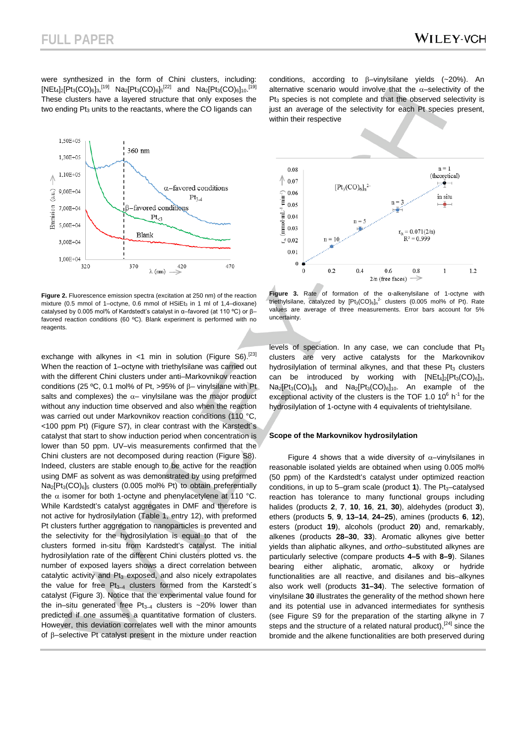were synthesized in the form of Chini clusters, including:  $[Net_4]_2[Pt_3(CO)_6]_3$ ,<sup>[19]</sup> Na<sub>2</sub> $[Pt_3(CO)_6]_5^{[22]}$  and Na<sub>2</sub> $[Pt_3(CO)_6]_{10}$ .<sup>[19]</sup> These clusters have a layered structure that only exposes the two ending  $Pt<sub>3</sub>$  units to the reactants, where the CO ligands can



**Figure 2.** Fluorescence emission spectra (excitation at 250 nm) of the reaction mixture (0.5 mmol of 1–octyne, 0.6 mmol of HSiEt $_3$  in 1 ml of 1.4–dioxane) catalysed by 0.005 mol% of Kardstedt's catalyst in α-favored (at 110 °C) or Bfavored reaction conditions (60 ºC). Blank experiment is performed with no reagents

exchange with alkynes in <1 min in solution (Figure S6).<sup>[23]</sup> When the reaction of 1–octyne with triethylsilane was carried out with the different Chini clusters under anti–Markovnikov reaction conditions (25 ºC, 0.1 mol% of Pt, >95% of β– vinylsilane with Pt salts and complexes) the  $\alpha$ - vinylsilane was the major product without any induction time observed and also when the reaction was carried out under Markovnikov reaction conditions (110 °C, <100 ppm Pt) (Figure S7), in clear contrast with the Karstedt´s catalyst that start to show induction period when concentration is lower than 50 ppm. UV–vis measurements confirmed that the Chini clusters are not decomposed during reaction (Figure S8). Indeed, clusters are stable enough to be active for the reaction using DMF as solvent as was demonstrated by using preformed  $Na<sub>2</sub>[Pt<sub>3</sub>(CO)<sub>6</sub>$ <sub>5</sub> clusters (0.005 mol% Pt) to obtain preferentially the  $\alpha$  isomer for both 1-octyne and phenylacetylene at 110 °C. While Kardstedt's catalyst aggregates in DMF and therefore is not active for hydrosilylation (Table 1, entry 12), with preformed Pt clusters further aggregation to nanoparticles is prevented and the selectivity for the hydrosilylation is equal to that of the clusters formed in-situ from Kardstedt's catalyst. The initial hydrosilylation rate of the different Chini clusters plotted vs. the number of exposed layers shows a direct correlation between catalytic activity and Pt<sub>3</sub> exposed, and also nicely extrapolates the value for free  $Pt_{3-4}$  clusters formed from the Karstedt's catalyst (Figure 3). Notice that the experimental value found for the in–situ generated free  $Pt_{3-4}$  clusters is ~20% lower than predicted if one assumes a quantitative formation of clusters. However, this deviation correlates well with the minor amounts of β–selective Pt catalyst present in the mixture under reaction

conditions, according to β–vinylsilane yields (~20%). An alternative scenario would involve that the  $\alpha$ -selectivity of the  $Pt<sub>3</sub>$  species is not complete and that the observed selectivity is just an average of the selectivity for each Pt species present, within their respective



**Figure 3.** Rate of formation of the α-alkenylsilane of 1-octyne with triethylsilane, catalyzed by  $[Pt_3(CO)_6]_n^2$  clusters (0.005 mol% of Pt). Rate values are average of three measurements. Error bars account for 5% uncertainty.

levels of speciation. In any case, we can conclude that  $Pt<sub>3</sub>$ clusters are very active catalysts for the Markovnikov hydrosilylation of terminal alkynes, and that these  $Pi_3$  clusters can be introduced by working with  $[NEt_4]_2[Pt_3(CO)_6]_3$ ,  $Na<sub>2</sub>[Pt<sub>3</sub>(CO)<sub>6</sub>]<sub>5</sub>$  and  $Na<sub>2</sub>[Pt<sub>3</sub>(CO)<sub>6</sub>]<sub>10</sub>$ . An example of the exceptional activity of the clusters is the TOF 1.0  $10^6$  h<sup>-1</sup> for the hydrosilylation of 1-octyne with 4 equivalents of triehtylsilane.

#### **Scope of the Markovnikov hydrosilylation**

Figure 4 shows that a wide diversity of  $\alpha$ -vinylsilanes in reasonable isolated yields are obtained when using 0.005 mol% (50 ppm) of the Kardstedt's catalyst under optimized reaction conditions, in up to 5–gram scale (product 1). The Pt<sub>3</sub>–catalysed reaction has tolerance to many functional groups including halides (products **2**, **7**, **10**, **16**, **21**, **30**), aldehydes (product **3**), ethers (products **5**, **9**, **13–14**, **24–25**), amines (products **6**, **12**), esters (product **19**), alcohols (product **20**) and, remarkably, alkenes (products **28–30**, **33**). Aromatic alkynes give better yields than aliphatic alkynes, and *ortho*–substituted alkynes are particularly selective (compare products **4–5** with **8–9**). Silanes bearing either aliphatic, aromatic, alkoxy or hydride functionalities are all reactive, and disilanes and bis–alkynes also work well (products **31–34**). The selective formation of vinylsilane **30** illustrates the generality of the method shown here and its potential use in advanced intermediates for synthesis (see Figure S9 for the preparation of the starting alkyne in 7 steps and the structure of a related natural product), [24] since the bromide and the alkene functionalities are both preserved during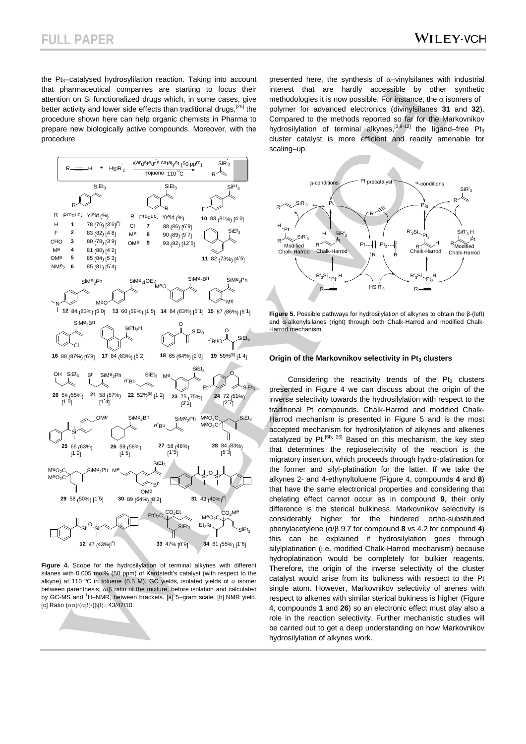the Pt<sub>3</sub>-catalysed hydrosylilation reaction. Taking into account that pharmaceutical companies are starting to focus their attention on Si functionalized drugs which, in some cases, give better activity and lower side effects than traditional drugs,  $[25]$  the procedure shown here can help organic chemists in Pharma to prepare new biologically active compounds. Moreover, with the procedure



**Figure 4.** Scope for the hydrosilylation of terminal alkynes with different silanes with 0.005 mol% (50 ppm) of Kardstedt's catalyst (with respect to the alkyne) at 110 °C in toluene (0.5 M). GC yields, isolated yields of  $\alpha$  isomer between parenthesis, a/β ratio of the mixture, before isolation and calculated by GC-MS and <sup>1</sup>H-NMR, between brackets. [a] 5-gram scale. [b] NMR yield. [c] Ratio  $(αα)/(αβ)/(ββ) = 43/47/10$ .

presented here, the synthesis of  $\alpha$ -vinylsilanes with industrial interest that are hardly accessible by other synthetic methodologies it is now possible. For instance, the  $\alpha$  isomers of polymer for advanced electronics (divinylsilanes **31** and **32**). Compared to the methods reported so far for the Markovnikov hydrosilylation of terminal alkynes,<sup>[3,9-12]</sup> the ligand–free Pt<sub>3</sub> cluster catalyst is more efficient and readily amenable for scaling–up.



**Figure 5.** Possible pathways for hydrosilylation of alkynes to obtain the β-(left) and α-alkenylsilanes (right) through both Chalk-Harrod and modified Chalk-Harrod mechanism.

#### **Origin of the Markovnikov selectivity in Pt<sub>3</sub> clusters**

Considering the reactivity trends of the  $Pt_3$  clusters presented in Figure 4 we can discuss about the origin of the inverse selectivity towards the hydrosilylation with respect to the traditional Pt compounds. Chalk-Harrod and modified Chalk-Harrod mechanism is presented in Figure 5 and is the most accepted mechanism for hydrosilylation of alkynes and alkenes catalyzed by Pt.<sup>[6b, 26]</sup> Based on this mechanism, the key step that determines the regioselectivity of the reaction is the migratory insertion, which proceeds through hydro-platination for the former and silyl-platination for the latter. If we take the alkynes 2- and 4-ethynyltoluene (Figure 4, compounds **4** and **8**) that have the same electronical properties and considering that chelating effect cannot occur as in compound **9**, their only difference is the sterical bulkiness. Markovnikov selectivity is considerably higher for the hindered ortho-substituted phenylacetylene (α/β 9.7 for compound **8** vs 4.2 for compound **4**) this can be explained if hydrosilylation goes through silylplatination (i.e. modified Chalk-Harrod mechanism) because hydroplatination would be completely for bulkier reagents. Therefore, the origin of the inverse selectivity of the cluster catalyst would arise from its bulkiness with respect to the Pt single atom. However, Markovnikov selectivity of arenes with respect to alkenes with similar sterical bukiness is higher (Figure 4, compounds **1** and **26**) so an electronic effect must play also a role in the reaction selectivity. Further mechanistic studies will be carried out to get a deep understanding on how Markovnikov hydrosilylation of alkynes work.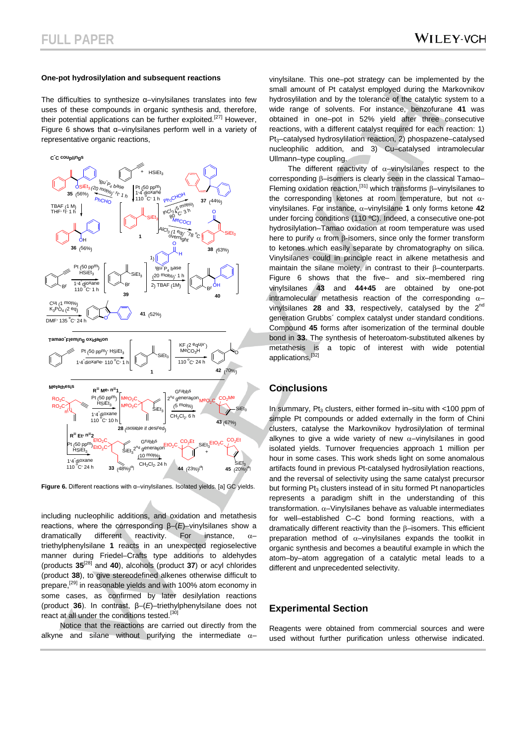#### **One-pot hydrosilylation and subsequent reactions**

The difficulties to synthesize α–vinylsilanes translates into few uses of these compounds in organic synthesis and, therefore, their potential applications can be further exploited.<sup>[27]</sup> However, Figure 6 shows that α–vinylsilanes perform well in a variety of representative organic reactions,



**Figure 6.** Different reactions with α–vinylsilanes. Isolated yields. [a] GC yields.

including nucleophilic additions, and oxidation and metathesis reactions, where the corresponding β–(*E*)–vinylsilanes show a dramatically different reactivity. For instance,  $\alpha$ triethylphenylsilane **1** reacts in an unexpected regioselective manner during Friedel–Crafts type additions to aldehydes (products **35**[28] and **40**), alcohols (product **37**) or acyl chlorides (product **38**), to give stereodefined alkenes otherwise difficult to prepare,<sup>[29]</sup> in reasonable yields and with 100% atom economy in some cases, as confirmed by later desilylation reactions (product **36**). In contrast, β–(*E*)–triethylphenylsilane does not react at all under the conditions tested.<sup>[30]</sup>

Notice that the reactions are carried out directly from the alkyne and silane without purifying the intermediate  $\alpha$ –

vinylsilane. This one–pot strategy can be implemented by the small amount of Pt catalyst employed during the Markovnikov hydrosylilation and by the tolerance of the catalytic system to a wide range of solvents. For instance, benzofurane **41** was obtained in one–pot in 52% yield after three consecutive reactions, with a different catalyst required for each reaction: 1) Pt<sub>3</sub>-catalysed hydrosylilation reaction, 2) phospazene-catalysed nucleophilic addition, and 3) Cu–catalysed intramolecular Ullmann–type coupling.

The different reactivity of  $\alpha$ -vinylsilanes respect to the corresponding β–isomers is clearly seen in the classical Tamao– Fleming oxidation reaction,[31] which transforms β–vinylsilanes to the corresponding ketones at room temperature, but not  $\alpha$ vinylsilanes. For instance, a–vinylsilane **1** only forms ketone **42** under forcing conditions (110 ºC). Indeed, a consecutive one-pot hydrosilylation–Tamao oxidation at room temperature was used here to purify  $α$  from  $β$ -isomers, since only the former transform to ketones which easily separate by chromatography on silica. Vinylsilanes could in principle react in alkene metathesis and maintain the silane moiety, in contrast to their β–counterparts. Figure 6 shows that the five– and six–membered ring vinylsilanes **43** and **44+45** are obtained by one-pot intramolecular metathesis reaction of the corresponding  $\alpha$ vinylsilanes **28** and **33**, respectively, catalysed by the 2nd generation Grubbs´ complex catalyst under standard conditions. Compound **45** forms after isomerization of the terminal double bond in **33**. The synthesis of heteroatom-substituted alkenes by metathesis is a topic of interest with wide potential applications.[32]

## **Conclusions**

In summary,  $Pt_3$  clusters, either formed in–situ with <100 ppm of simple Pt compounds or added externally in the form of Chini clusters, catalyse the Markovnikov hydrosilylation of terminal alkynes to give a wide variety of new  $\alpha$ -vinylsilanes in good isolated yields. Turnover frequencies approach 1 million per hour in some cases. This work sheds light on some anomalous artifacts found in previous Pt-catalysed hydrosilylation reactions, and the reversal of selectivity using the same catalyst precursor but forming Pt<sub>3</sub> clusters instead of in situ formed Pt nanoparticles represents a paradigm shift in the understanding of this transformation.  $\alpha$ -Vinylsilanes behave as valuable intermediates for well–established C–C bond forming reactions, with a dramatically different reactivity than the β–isomers. This efficient preparation method of  $\alpha$ -vinylsilanes expands the toolkit in organic synthesis and becomes a beautiful example in which the atom–by–atom aggregation of a catalytic metal leads to a different and unprecedented selectivity.

# **Experimental Section**

Reagents were obtained from commercial sources and were used without further purification unless otherwise indicated.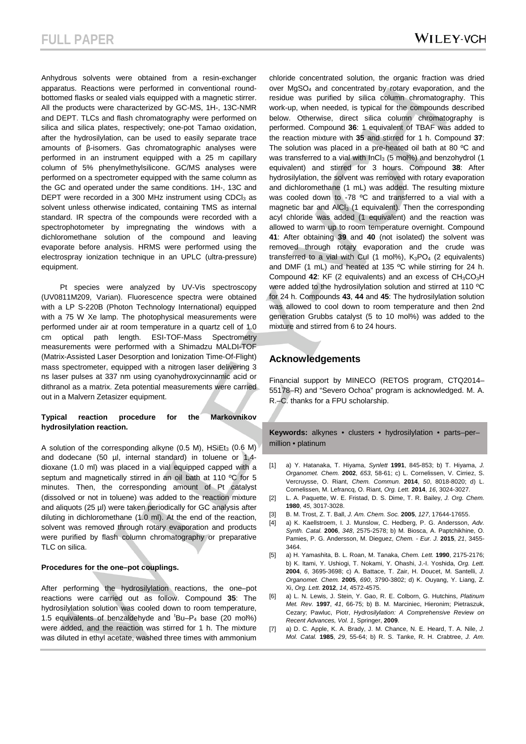Anhydrous solvents were obtained from a resin-exchanger apparatus. Reactions were performed in conventional roundbottomed flasks or sealed vials equipped with a magnetic stirrer. All the products were characterized by GC-MS, 1H-, 13C-NMR and DEPT. TLCs and flash chromatography were performed on silica and silica plates, respectively; one-pot Tamao oxidation, after the hydrosilylation, can be used to easily separate trace amounts of β-isomers. Gas chromatographic analyses were performed in an instrument equipped with a 25 m capillary column of 5% phenylmethylsilicone. GC/MS analyses were performed on a spectrometer equipped with the same column as the GC and operated under the same conditions. 1H-, 13C and DEPT were recorded in a 300 MHz instrument using CDCl<sub>3</sub> as solvent unless otherwise indicated, containing TMS as internal standard. IR spectra of the compounds were recorded with a spectrophotometer by impregnating the windows with a dichloromethane solution of the compound and leaving evaporate before analysis. HRMS were performed using the electrospray ionization technique in an UPLC (ultra-pressure) equipment.

Pt species were analyzed by UV-Vis spectroscopy (UV0811M209, Varian). Fluorescence spectra were obtained with a LP S-220B (Photon Technology International) equipped with a 75 W Xe lamp. The photophysical measurements were performed under air at room temperature in a quartz cell of 1.0 optical path length. ESI-TOF-Mass Spectrometry measurements were performed with a Shimadzu MALDI-TOF (Matrix-Assisted Laser Desorption and Ionization Time-Of-Flight) mass spectrometer, equipped with a nitrogen laser delivering 3 ns laser pulses at 337 nm using cyanohydroxycinnamic acid or dithranol as a matrix. Zeta potential measurements were carried out in a Malvern Zetasizer equipment.

#### **Typical reaction procedure for the Markovnikov hydrosilylation reaction.**

A solution of the corresponding alkyne  $(0.5 \text{ M})$ ,  $HSEt_3$   $(0.6 \text{ M})$ and dodecane (50 µl, internal standard) in toluene or 1,4dioxane (1.0 ml) was placed in a vial equipped capped with a septum and magnetically stirred in an oil bath at 110 °C for 5 minutes. Then, the corresponding amount of Pt catalyst (dissolved or not in toluene) was added to the reaction mixture and aliquots (25 µl) were taken periodically for GC analysis after diluting in dichloromethane (1.0 ml). At the end of the reaction, solvent was removed through rotary evaporation and products were purified by flash column chromatography or preparative TLC on silica.

#### **Procedures for the one–pot couplings.**

After performing the hydrosilylation reactions, the one–pot reactions were carried out as follow. Compound **35**: The hydrosilylation solution was cooled down to room temperature, 1.5 equivalents of benzaldehyde and  ${}^t$ Bu-P<sub>4</sub> base (20 mol%) were added, and the reaction was stirred for 1 h. The mixture was diluted in ethyl acetate, washed three times with ammonium

chloride concentrated solution, the organic fraction was dried over MgSO<sub>4</sub> and concentrated by rotary evaporation, and the residue was purified by silica column chromatography. This work-up, when needed, is typical for the compounds described below. Otherwise, direct silica column chromatography is performed. Compound **36**: 1 equivalent of TBAF was added to the reaction mixture with **35** and stirred for 1 h. Compound **37**: The solution was placed in a pre-heated oil bath at 80 ºC and was transferred to a vial with InCl<sub>3</sub> (5 mol%) and benzohydrol (1 equivalent) and stirred for 3 hours. Compound **38**: After hydrosilylation, the solvent was removed with rotary evaporation and dichloromethane (1 mL) was added. The resulting mixture was cooled down to -78 °C and transferred to a vial with a magnetic bar and AICI<sub>3</sub> (1 equivalent). Then the corresponding acyl chloride was added (1 equivalent) and the reaction was allowed to warm up to room temperature overnight. Compound **41**: After obtaining **39** and **40** (not isolated) the solvent was removed through rotary evaporation and the crude was transferred to a vial with CuI (1 mol%),  $K_3PO_4$  (2 equivalents) and DMF (1 mL) and heated at 135 ºC while stirring for 24 h. Compound **42**: KF (2 equivalents) and an excess of CH3CO3H were added to the hydrosilylation solution and stirred at 110 ºC for 24 h. Compounds **43**, **44** and **45**: The hydrosilylation solution was allowed to cool down to room temperature and then 2nd generation Grubbs catalyst (5 to 10 mol%) was added to the mixture and stirred from 6 to 24 hours.

# **Acknowledgements**

Financial support by MINECO (RETOS program, CTQ2014– 55178–R) and "Severo Ochoa" program is acknowledged. M. A. R.–C. thanks for a FPU scholarship.

**Keywords:** alkynes • clusters • hydrosilylation • parts–per– million • platinum

- [1] a) Y. Hatanaka, T. Hiyama, *Synlett* **1991**, 845-853; b) T. Hiyama, *J. Organomet. Chem.* **2002**, *653*, 58-61; c) L. Cornelissen, V. Cirriez, S. Vercruysse, O. Riant, *Chem. Commun.* **2014**, *50*, 8018-8020; d) L. Cornelissen, M. Lefrancq, O. Riant, *Org. Lett.* **2014**, *16*, 3024-3027.
- [2] L. A. Paquette, W. E. Fristad, D. S. Dime, T. R. Bailey, *J. Org. Chem.*  **1980**, *45*, 3017-3028.
- [3] B. M. Trost, Z. T. Ball, *J. Am. Chem. Soc.* **2005**, *127*, 17644-17655.
- [4] a) K. Kaellstroem, I. J. Munslow, C. Hedberg, P. G. Andersson, *Adv. Synth. Catal.* **2006**, *348*, 2575-2578; b) M. Biosca, A. Paptchikhine, O. Pamies, P. G. Andersson, M. Dieguez, *Chem. - Eur. J.* **2015**, *21*, 3455- 3464.
- [5] a) H. Yamashita, B. L. Roan, M. Tanaka, *Chem. Lett.* **1990**, 2175-2176; b) K. Itami, Y. Ushiogi, T. Nokami, Y. Ohashi, J.-I. Yoshida, *Org. Lett.*  **2004**, *6*, 3695-3698; c) A. Battace, T. Zair, H. Doucet, M. Santelli, *J. Organomet. Chem.* **2005**, *690*, 3790-3802; d) K. Ouyang, Y. Liang, Z. Xi, *Org. Lett.* **2012**, *14*, 4572-4575.
- [6] a) L. N. Lewis, J. Stein, Y. Gao, R. E. Colborn, G. Hutchins, *Platinum Met. Rev.* **1997**, *41*, 66-75; b) B. M. Marciniec, Hieronim; Pietraszuk, Cezary; Pawluc, Piotr, *Hydrosilylation: A Comprehensive Review on Recent Advances, Vol. 1*, Springer, **2009**.
- [7] a) D. C. Apple, K. A. Brady, J. M. Chance, N. E. Heard, T. A. Nile, *J. Mol. Catal.* **1985**, *29*, 55-64; b) R. S. Tanke, R. H. Crabtree, *J. Am.*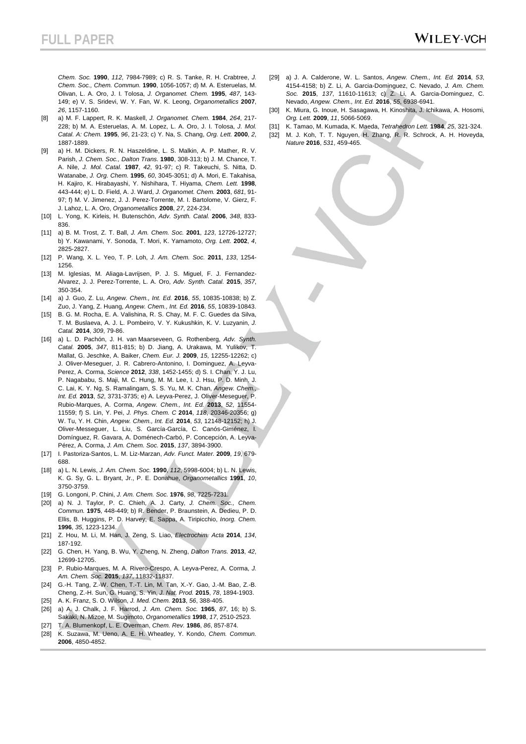*Chem. Soc.* **1990**, *112*, 7984-7989; c) R. S. Tanke, R. H. Crabtree, *J. Chem. Soc., Chem. Commun.* **1990**, 1056-1057; d) M. A. Esteruelas, M. Olivan, L. A. Oro, J. I. Tolosa, *J. Organomet. Chem.* **1995**, *487*, 143- 149; e) V. S. Sridevi, W. Y. Fan, W. K. Leong, *Organometallics* **2007**, *26*, 1157-1160.

- [8] a) M. F. Lappert, R. K. Maskell, *J. Organomet. Chem.* **1984**, *264*, 217- 228; b) M. A. Esteruelas, A. M. Lopez, L. A. Oro, J. I. Tolosa, *J. Mol. Catal. A: Chem.* **1995**, *96*, 21-23; c) Y. Na, S. Chang, *Org. Lett.* **2000**, *2*, 1887-1889.
- [9] a) H. M. Dickers, R. N. Haszeldine, L. S. Malkin, A. P. Mather, R. V. Parish, *J. Chem. Soc., Dalton Trans.* **1980**, 308-313; b) J. M. Chance, T. A. Nile, *J. Mol. Catal.* **1987**, *42*, 91-97; c) R. Takeuchi, S. Nitta, D. Watanabe, *J. Org. Chem.* **1995**, *60*, 3045-3051; d) A. Mori, E. Takahisa, H. Kajiro, K. Hirabayashi, Y. Nishihara, T. Hiyama, *Chem. Lett.* **1998**, 443-444; e) L. D. Field, A. J. Ward, *J. Organomet. Chem.* **2003**, *681*, 91- 97; f) M. V. Jimenez, J. J. Perez-Torrente, M. I. Bartolome, V. Gierz, F. J. Lahoz, L. A. Oro, *Organometallics* **2008**, *27*, 224-234.
- [10] L. Yong, K. Kirleis, H. Butenschön, *Adv. Synth. Catal.* **2006**, *348*, 833- 836.
- [11] a) B. M. Trost, Z. T. Ball, *J. Am. Chem. Soc.* **2001**, *123*, 12726-12727; b) Y. Kawanami, Y. Sonoda, T. Mori, K. Yamamoto, *Org. Lett.* **2002**, *4*, 2825-2827.
- [12] P. Wang, X. L. Yeo, T. P. Loh, *J. Am. Chem. Soc.* **2011**, *133*, 1254- 1256.
- [13] M. Iglesias, M. Aliaga-Lavrijsen, P. J. S. Miguel, F. J. Fernandez-Alvarez, J. J. Perez-Torrente, L. A. Oro, *Adv. Synth. Catal.* **2015**, *357*, 350-354.
- [14] a) J. Guo, Z. Lu, *Angew. Chem., Int. Ed.* **2016**, *55*, 10835-10838; b) Z. Zuo, J. Yang, Z. Huang, *Angew. Chem., Int. Ed.* **2016**, *55*, 10839-10843.
- [15] B. G. M. Rocha, E. A. Valishina, R. S. Chay, M. F. C. Guedes da Silva, T. M. Buslaeva, A. J. L. Pombeiro, V. Y. Kukushkin, K. V. Luzyanin, *J. Catal.* **2014**, *309*, 79-86.
- [16] a) L. D. Pachón, J. H. van Maarseveen, G. Rothenberg, *Adv. Synth. Catal.* **2005**, *347*, 811-815; b) D. Jiang, A. Urakawa, M. Yulikov, T. Mallat, G. Jeschke, A. Baiker, *Chem. Eur. J.* **2009**, *15*, 12255-12262; c) J. Oliver-Meseguer, J. R. Cabrero-Antonino, I. Dominguez, A. Leyva-Perez, A. Corma, *Science* **2012**, *338*, 1452-1455; d) S. I. Chan, Y. J. Lu, P. Nagababu, S. Maji, M. C. Hung, M. M. Lee, I. J. Hsu, P. D. Minh, J. C. Lai, K. Y. Ng, S. Ramalingam, S. S. Yu, M. K. Chan, *Angew. Chem., Int. Ed.* **2013**, *52*, 3731-3735; e) A. Leyva-Perez, J. Oliver-Meseguer, P. Rubio-Marques, A. Corma, *Angew. Chem., Int. Ed.* **2013**, *52*, 11554- 11559; f) S. Lin, Y. Pei, *J. Phys. Chem. C* **2014**, *118*, 20346-20356; g) W. Tu, Y. H. Chin, *Angew. Chem., Int. Ed.* **2014**, *53*, 12148-12152; h) J. Oliver-Messeguer, L. Liu, S. García-García, C. Canós-Giménez, I. Domínguez, R. Gavara, A. Doménech-Carbó, P. Concepción, A. Leyva-Pérez, A. Corma, *J. Am. Chem. Soc.* **2015**, *137*, 3894-3900.
- [17] I. Pastoriza-Santos, L. M. Liz-Marzan, *Adv. Funct. Mater.* **2009**, *19*, 679- 688.
- [18] a) L. N. Lewis, *J. Am. Chem. Soc.* **1990**, *112*, 5998-6004; b) L. N. Lewis, K. G. Sy, G. L. Bryant, Jr., P. E. Donahue, *Organometallics* **1991**, *10*, 3750-3759.
- [19] G. Longoni, P. Chini, *J. Am. Chem. Soc.* **1976**, *98*, 7225-7231.
- [20] a) N. J. Taylor, P. C. Chieh, A. J. Carty, *J. Chem. Soc., Chem. Commun.* **1975**, 448-449; b) R. Bender, P. Braunstein, A. Dedieu, P. D. Ellis, B. Huggins, P. D. Harvey, E. Sappa, A. Tiripicchio, *Inorg. Chem.*  **1996**, *35*, 1223-1234.
- [21] Z. Hou, M. Li, M. Han, J. Zeng, S. Liao, *Electrochim. Acta* **2014**, *134*, 187-192.
- [22] G. Chen, H. Yang, B. Wu, Y. Zheng, N. Zheng, *Dalton Trans.* **2013**, *42*, 12699-12705.
- [23] P. Rubio-Marques, M. A. Rivero-Crespo, A. Leyva-Perez, A. Corma, *J. Am. Chem. Soc.* **2015**, *137*, 11832-11837.
- [24] G.-H. Tang, Z.-W. Chen, T.-T. Lin, M. Tan, X.-Y. Gao, J.-M. Bao, Z.-B. Cheng, Z.-H. Sun, G. Huang, S. Yin, *J. Nat. Prod.* **2015**, *78*, 1894-1903.
- [25] A. K. Franz, S. O. Wilson, *J. Med. Chem.* **2013**, *56*, 388-405.
- [26] a) A. J. Chalk, J. F. Harrod, *J. Am. Chem. Soc.* **1965**, *87*, 16; b) S. Sakaki, N. Mizoe, M. Sugimoto, *Organometallics* **1998**, *17*, 2510-2523. [27] T. A. Blumenkopf, L. E. Overman, *Chem. Rev.* **1986**, *86*, 857-874.
- [28] K. Suzawa, M. Ueno, A. E. H. Wheatley, Y. Kondo, *Chem. Commun.*  **2006**, 4850-4852.
- [29] a) J. A. Calderone, W. L. Santos, *Angew. Chem., Int. Ed.* **2014**, *53*, 4154-4158; b) Z. Li, A. Garcia-Dominguez, C. Nevado, *J. Am. Chem. Soc.* **2015**, *137*, 11610-11613; c) Z. Li, A. Garcia-Dominguez, C. Nevado, *Angew. Chem., Int. Ed.* **2016**, *55*, 6938-6941.
- [30] K. Miura, G. Inoue, H. Sasagawa, H. Kinoshita, J. Ichikawa, A. Hosomi, *Org. Lett.* **2009**, *11*, 5066-5069.
- [31] K. Tamao, M. Kumada, K. Maeda, *Tetrahedron Lett.* **1984**, *25*, 321-324.
- [32] M. J. Koh, T. T. Nguyen, H. Zhang, R. R. Schrock, A. H. Hoveyda, *Nature* **2016**, *531*, 459-465.